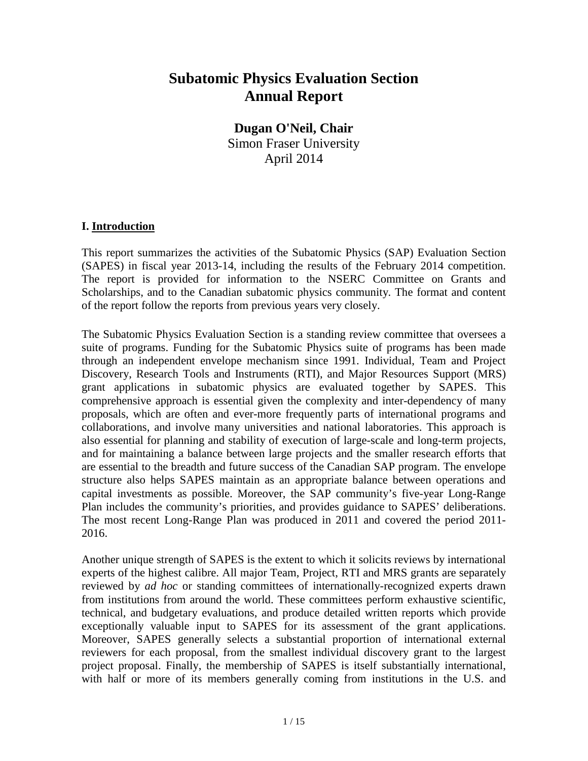# **Subatomic Physics Evaluation Section Annual Report**

**Dugan O'Neil, Chair** Simon Fraser University April 2014

### **I. Introduction**

This report summarizes the activities of the Subatomic Physics (SAP) Evaluation Section (SAPES) in fiscal year 2013-14, including the results of the February 2014 competition. The report is provided for information to the NSERC Committee on Grants and Scholarships, and to the Canadian subatomic physics community. The format and content of the report follow the reports from previous years very closely.

The Subatomic Physics Evaluation Section is a standing review committee that oversees a suite of programs. Funding for the Subatomic Physics suite of programs has been made through an independent envelope mechanism since 1991. Individual, Team and Project Discovery, Research Tools and Instruments (RTI), and Major Resources Support (MRS) grant applications in subatomic physics are evaluated together by SAPES. This comprehensive approach is essential given the complexity and inter-dependency of many proposals, which are often and ever-more frequently parts of international programs and collaborations, and involve many universities and national laboratories. This approach is also essential for planning and stability of execution of large-scale and long-term projects, and for maintaining a balance between large projects and the smaller research efforts that are essential to the breadth and future success of the Canadian SAP program. The envelope structure also helps SAPES maintain as an appropriate balance between operations and capital investments as possible. Moreover, the SAP community's five-year Long-Range Plan includes the community's priorities, and provides guidance to SAPES' deliberations. The most recent Long-Range Plan was produced in 2011 and covered the period 2011- 2016.

Another unique strength of SAPES is the extent to which it solicits reviews by international experts of the highest calibre. All major Team, Project, RTI and MRS grants are separately reviewed by *ad hoc* or standing committees of internationally-recognized experts drawn from institutions from around the world. These committees perform exhaustive scientific, technical, and budgetary evaluations, and produce detailed written reports which provide exceptionally valuable input to SAPES for its assessment of the grant applications. Moreover, SAPES generally selects a substantial proportion of international external reviewers for each proposal, from the smallest individual discovery grant to the largest project proposal. Finally, the membership of SAPES is itself substantially international, with half or more of its members generally coming from institutions in the U.S. and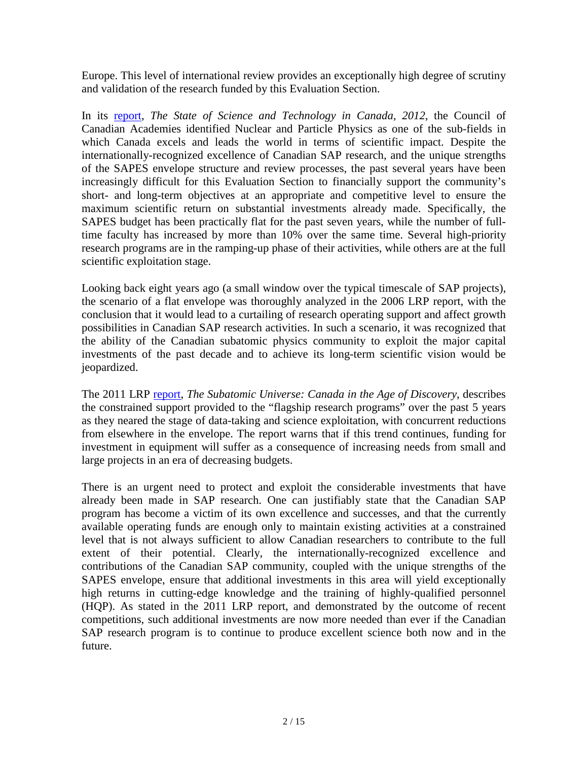Europe. This level of international review provides an exceptionally high degree of scrutiny and validation of the research funded by this Evaluation Section.

In its [report,](http://www.scienceadvice.ca/uploads/eng/assessments%20and%20publications%20and%20news%20releases/sandt_ii/stateofst2012_fullreporten.pdf) *The State of Science and Technology in Canada, 2012*, the Council of Canadian Academies identified Nuclear and Particle Physics as one of the sub-fields in which Canada excels and leads the world in terms of scientific impact. Despite the internationally-recognized excellence of Canadian SAP research, and the unique strengths of the SAPES envelope structure and review processes, the past several years have been increasingly difficult for this Evaluation Section to financially support the community's short- and long-term objectives at an appropriate and competitive level to ensure the maximum scientific return on substantial investments already made. Specifically, the SAPES budget has been practically flat for the past seven years, while the number of fulltime faculty has increased by more than 10% over the same time. Several high-priority research programs are in the ramping-up phase of their activities, while others are at the full scientific exploitation stage.

Looking back eight years ago (a small window over the typical timescale of SAP projects), the scenario of a flat envelope was thoroughly analyzed in the 2006 LRP report, with the conclusion that it would lead to a curtailing of research operating support and affect growth possibilities in Canadian SAP research activities. In such a scenario, it was recognized that the ability of the Canadian subatomic physics community to exploit the major capital investments of the past decade and to achieve its long-term scientific vision would be jeopardized.

The 2011 LRP [report,](http://www.subatomicphysics.ca/documents/SUB_ENG_FINAL_201116.pdf) *The Subatomic Universe: Canada in the Age of Discovery*, describes the constrained support provided to the "flagship research programs" over the past 5 years as they neared the stage of data-taking and science exploitation, with concurrent reductions from elsewhere in the envelope. The report warns that if this trend continues, funding for investment in equipment will suffer as a consequence of increasing needs from small and large projects in an era of decreasing budgets.

There is an urgent need to protect and exploit the considerable investments that have already been made in SAP research. One can justifiably state that the Canadian SAP program has become a victim of its own excellence and successes, and that the currently available operating funds are enough only to maintain existing activities at a constrained level that is not always sufficient to allow Canadian researchers to contribute to the full extent of their potential. Clearly, the internationally-recognized excellence and contributions of the Canadian SAP community, coupled with the unique strengths of the SAPES envelope, ensure that additional investments in this area will yield exceptionally high returns in cutting-edge knowledge and the training of highly-qualified personnel (HQP). As stated in the 2011 LRP report, and demonstrated by the outcome of recent competitions, such additional investments are now more needed than ever if the Canadian SAP research program is to continue to produce excellent science both now and in the future.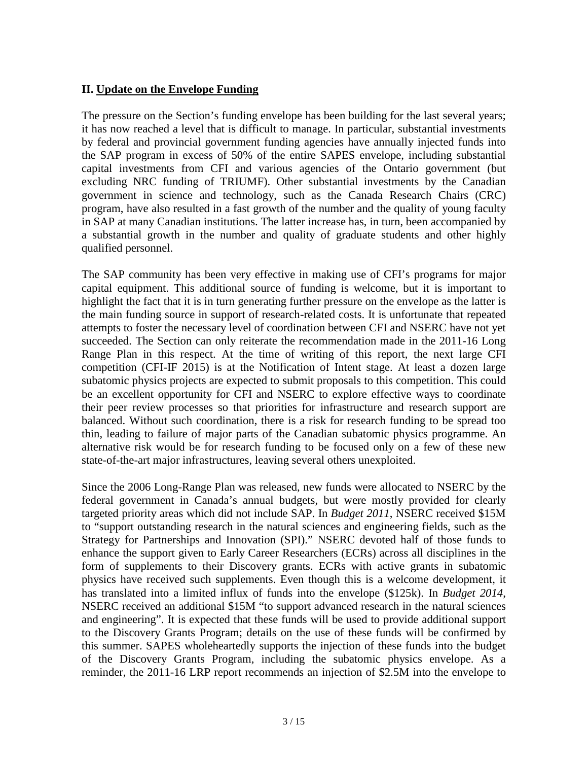## **II. Update on the Envelope Funding**

The pressure on the Section's funding envelope has been building for the last several years; it has now reached a level that is difficult to manage. In particular, substantial investments by federal and provincial government funding agencies have annually injected funds into the SAP program in excess of 50% of the entire SAPES envelope, including substantial capital investments from CFI and various agencies of the Ontario government (but excluding NRC funding of TRIUMF). Other substantial investments by the Canadian government in science and technology, such as the Canada Research Chairs (CRC) program, have also resulted in a fast growth of the number and the quality of young faculty in SAP at many Canadian institutions. The latter increase has, in turn, been accompanied by a substantial growth in the number and quality of graduate students and other highly qualified personnel.

The SAP community has been very effective in making use of CFI's programs for major capital equipment. This additional source of funding is welcome, but it is important to highlight the fact that it is in turn generating further pressure on the envelope as the latter is the main funding source in support of research-related costs. It is unfortunate that repeated attempts to foster the necessary level of coordination between CFI and NSERC have not yet succeeded. The Section can only reiterate the recommendation made in the 2011-16 Long Range Plan in this respect. At the time of writing of this report, the next large CFI competition (CFI-IF 2015) is at the Notification of Intent stage. At least a dozen large subatomic physics projects are expected to submit proposals to this competition. This could be an excellent opportunity for CFI and NSERC to explore effective ways to coordinate their peer review processes so that priorities for infrastructure and research support are balanced. Without such coordination, there is a risk for research funding to be spread too thin, leading to failure of major parts of the Canadian subatomic physics programme. An alternative risk would be for research funding to be focused only on a few of these new state-of-the-art major infrastructures, leaving several others unexploited.

Since the 2006 Long-Range Plan was released, new funds were allocated to NSERC by the federal government in Canada's annual budgets, but were mostly provided for clearly targeted priority areas which did not include SAP. In *Budget 2011*, NSERC received \$15M to "support outstanding research in the natural sciences and engineering fields, such as the Strategy for Partnerships and Innovation (SPI)." NSERC devoted half of those funds to enhance the support given to Early Career Researchers (ECRs) across all disciplines in the form of supplements to their Discovery grants. ECRs with active grants in subatomic physics have received such supplements. Even though this is a welcome development, it has translated into a limited influx of funds into the envelope (\$125k). In *Budget 2014*, NSERC received an additional \$15M "to support advanced research in the natural sciences and engineering". It is expected that these funds will be used to provide additional support to the Discovery Grants Program; details on the use of these funds will be confirmed by this summer. SAPES wholeheartedly supports the injection of these funds into the budget of the Discovery Grants Program, including the subatomic physics envelope. As a reminder, the 2011-16 LRP report recommends an injection of \$2.5M into the envelope to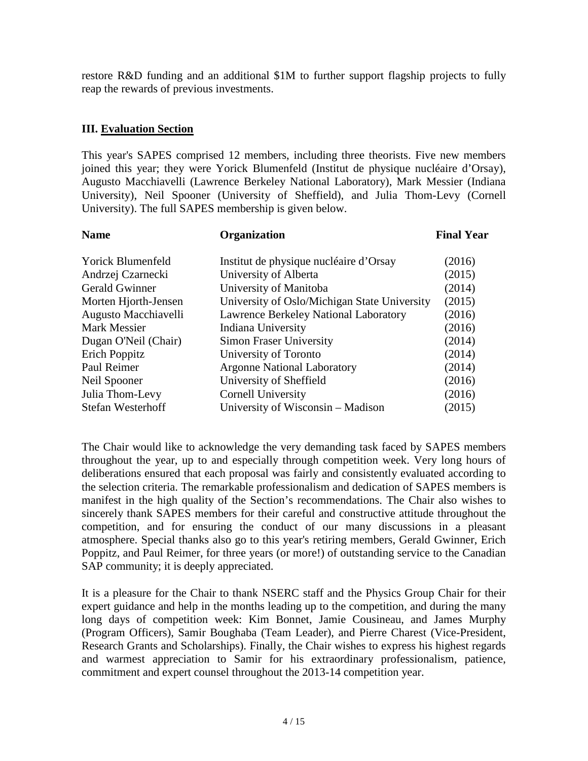restore R&D funding and an additional \$1M to further support flagship projects to fully reap the rewards of previous investments.

## **III. Evaluation Section**

This year's SAPES comprised 12 members, including three theorists. Five new members joined this year; they were Yorick Blumenfeld (Institut de physique nucléaire d'Orsay), Augusto Macchiavelli (Lawrence Berkeley National Laboratory), Mark Messier (Indiana University), Neil Spooner (University of Sheffield), and Julia Thom-Levy (Cornell University). The full SAPES membership is given below.

| Organization                                 | <b>Final Year</b> |
|----------------------------------------------|-------------------|
| Institut de physique nucléaire d'Orsay       | (2016)            |
| University of Alberta                        | (2015)            |
| University of Manitoba                       | (2014)            |
| University of Oslo/Michigan State University | (2015)            |
| <b>Lawrence Berkeley National Laboratory</b> | (2016)            |
| Indiana University                           | (2016)            |
| <b>Simon Fraser University</b>               | (2014)            |
| University of Toronto                        | (2014)            |
| <b>Argonne National Laboratory</b>           | (2014)            |
| University of Sheffield                      | (2016)            |
| <b>Cornell University</b>                    | (2016)            |
| University of Wisconsin – Madison            | (2015)            |
|                                              |                   |

The Chair would like to acknowledge the very demanding task faced by SAPES members throughout the year, up to and especially through competition week. Very long hours of deliberations ensured that each proposal was fairly and consistently evaluated according to the selection criteria. The remarkable professionalism and dedication of SAPES members is manifest in the high quality of the Section's recommendations. The Chair also wishes to sincerely thank SAPES members for their careful and constructive attitude throughout the competition, and for ensuring the conduct of our many discussions in a pleasant atmosphere. Special thanks also go to this year's retiring members, Gerald Gwinner, Erich Poppitz, and Paul Reimer, for three years (or more!) of outstanding service to the Canadian SAP community; it is deeply appreciated.

It is a pleasure for the Chair to thank NSERC staff and the Physics Group Chair for their expert guidance and help in the months leading up to the competition, and during the many long days of competition week: Kim Bonnet, Jamie Cousineau, and James Murphy (Program Officers), Samir Boughaba (Team Leader), and Pierre Charest (Vice-President, Research Grants and Scholarships). Finally, the Chair wishes to express his highest regards and warmest appreciation to Samir for his extraordinary professionalism, patience, commitment and expert counsel throughout the 2013-14 competition year.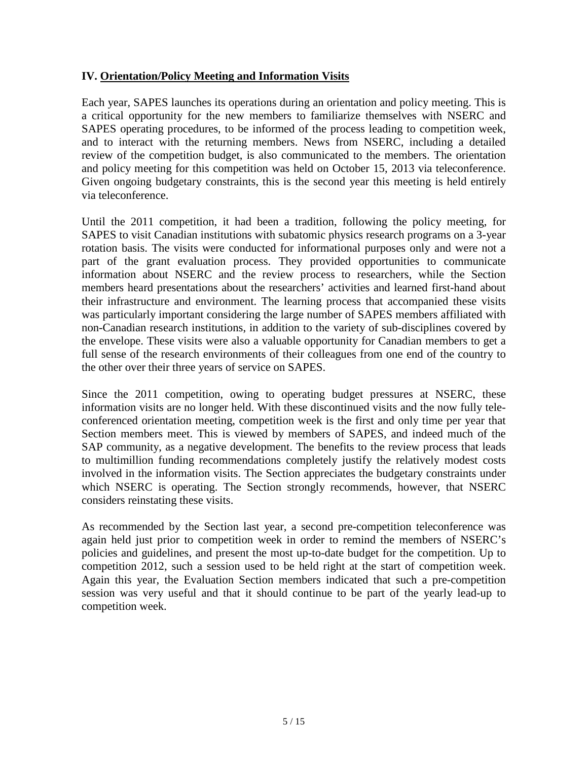## **IV. Orientation/Policy Meeting and Information Visits**

Each year, SAPES launches its operations during an orientation and policy meeting. This is a critical opportunity for the new members to familiarize themselves with NSERC and SAPES operating procedures, to be informed of the process leading to competition week, and to interact with the returning members. News from NSERC, including a detailed review of the competition budget, is also communicated to the members. The orientation and policy meeting for this competition was held on October 15, 2013 via teleconference. Given ongoing budgetary constraints, this is the second year this meeting is held entirely via teleconference.

Until the 2011 competition, it had been a tradition, following the policy meeting, for SAPES to visit Canadian institutions with subatomic physics research programs on a 3-year rotation basis. The visits were conducted for informational purposes only and were not a part of the grant evaluation process. They provided opportunities to communicate information about NSERC and the review process to researchers, while the Section members heard presentations about the researchers' activities and learned first-hand about their infrastructure and environment. The learning process that accompanied these visits was particularly important considering the large number of SAPES members affiliated with non-Canadian research institutions, in addition to the variety of sub-disciplines covered by the envelope. These visits were also a valuable opportunity for Canadian members to get a full sense of the research environments of their colleagues from one end of the country to the other over their three years of service on SAPES.

Since the 2011 competition, owing to operating budget pressures at NSERC, these information visits are no longer held. With these discontinued visits and the now fully teleconferenced orientation meeting, competition week is the first and only time per year that Section members meet. This is viewed by members of SAPES, and indeed much of the SAP community, as a negative development. The benefits to the review process that leads to multimillion funding recommendations completely justify the relatively modest costs involved in the information visits. The Section appreciates the budgetary constraints under which NSERC is operating. The Section strongly recommends, however, that NSERC considers reinstating these visits.

As recommended by the Section last year, a second pre-competition teleconference was again held just prior to competition week in order to remind the members of NSERC's policies and guidelines, and present the most up-to-date budget for the competition. Up to competition 2012, such a session used to be held right at the start of competition week. Again this year, the Evaluation Section members indicated that such a pre-competition session was very useful and that it should continue to be part of the yearly lead-up to competition week.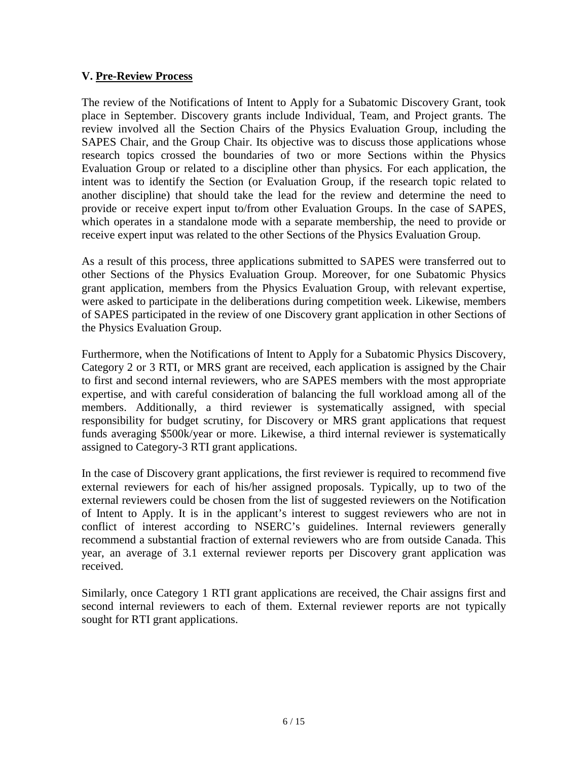### **V. Pre-Review Process**

The review of the Notifications of Intent to Apply for a Subatomic Discovery Grant, took place in September. Discovery grants include Individual, Team, and Project grants. The review involved all the Section Chairs of the Physics Evaluation Group, including the SAPES Chair, and the Group Chair. Its objective was to discuss those applications whose research topics crossed the boundaries of two or more Sections within the Physics Evaluation Group or related to a discipline other than physics. For each application, the intent was to identify the Section (or Evaluation Group, if the research topic related to another discipline) that should take the lead for the review and determine the need to provide or receive expert input to/from other Evaluation Groups. In the case of SAPES, which operates in a standalone mode with a separate membership, the need to provide or receive expert input was related to the other Sections of the Physics Evaluation Group.

As a result of this process, three applications submitted to SAPES were transferred out to other Sections of the Physics Evaluation Group. Moreover, for one Subatomic Physics grant application, members from the Physics Evaluation Group, with relevant expertise, were asked to participate in the deliberations during competition week. Likewise, members of SAPES participated in the review of one Discovery grant application in other Sections of the Physics Evaluation Group.

Furthermore, when the Notifications of Intent to Apply for a Subatomic Physics Discovery, Category 2 or 3 RTI, or MRS grant are received, each application is assigned by the Chair to first and second internal reviewers, who are SAPES members with the most appropriate expertise, and with careful consideration of balancing the full workload among all of the members. Additionally, a third reviewer is systematically assigned, with special responsibility for budget scrutiny, for Discovery or MRS grant applications that request funds averaging \$500k/year or more. Likewise, a third internal reviewer is systematically assigned to Category-3 RTI grant applications.

In the case of Discovery grant applications, the first reviewer is required to recommend five external reviewers for each of his/her assigned proposals. Typically, up to two of the external reviewers could be chosen from the list of suggested reviewers on the Notification of Intent to Apply. It is in the applicant's interest to suggest reviewers who are not in conflict of interest according to NSERC's guidelines. Internal reviewers generally recommend a substantial fraction of external reviewers who are from outside Canada. This year, an average of 3.1 external reviewer reports per Discovery grant application was received.

Similarly, once Category 1 RTI grant applications are received, the Chair assigns first and second internal reviewers to each of them. External reviewer reports are not typically sought for RTI grant applications.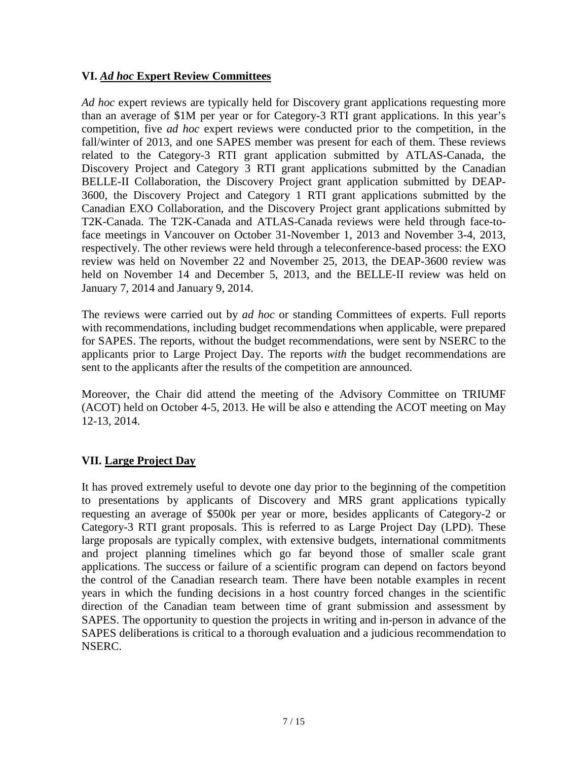# **VI.** *Ad hoc* **Expert Review Committees**

*Ad hoc* expert reviews are typically held for Discovery grant applications requesting more than an average of \$1M per year or for Category-3 RTI grant applications. In this year's competition, five *ad hoc* expert reviews were conducted prior to the competition, in the fall/winter of 2013, and one SAPES member was present for each of them. These reviews related to the Category-3 RTI grant application submitted by ATLAS-Canada, the Discovery Project and Category 3 RTI grant applications submitted by the Canadian BELLE-II Collaboration, the Discovery Project grant application submitted by DEAP-3600, the Discovery Project and Category 1 RTI grant applications submitted by the Canadian EXO Collaboration, and the Discovery Project grant applications submitted by T2K-Canada. The T2K-Canada and ATLAS-Canada reviews were held through face-toface meetings in Vancouver on October 31-November 1, 2013 and November 3-4, 2013, respectively. The other reviews were held through a teleconference-based process: the EXO review was held on November 22 and November 25, 2013, the DEAP-3600 review was held on November 14 and December 5, 2013, and the BELLE-II review was held on January 7, 2014 and January 9, 2014.

The reviews were carried out by *ad hoc* or standing Committees of experts. Full reports with recommendations, including budget recommendations when applicable, were prepared for SAPES. The reports, without the budget recommendations, were sent by NSERC to the applicants prior to Large Project Day. The reports *with* the budget recommendations are sent to the applicants after the results of the competition are announced.

Moreover, the Chair did attend the meeting of the Advisory Committee on TRIUMF (ACOT) held on October 4-5, 2013. He will be also e attending the ACOT meeting on May 12-13, 2014.

# **VII. Large Project Day**

It has proved extremely useful to devote one day prior to the beginning of the competition to presentations by applicants of Discovery and MRS grant applications typically requesting an average of \$500k per year or more, besides applicants of Category-2 or Category-3 RTI grant proposals. This is referred to as Large Project Day (LPD). These large proposals are typically complex, with extensive budgets, international commitments and project planning timelines which go far beyond those of smaller scale grant applications. The success or failure of a scientific program can depend on factors beyond the control of the Canadian research team. There have been notable examples in recent years in which the funding decisions in a host country forced changes in the scientific direction of the Canadian team between time of grant submission and assessment by SAPES. The opportunity to question the projects in writing and in-person in advance of the SAPES deliberations is critical to a thorough evaluation and a judicious recommendation to NSERC.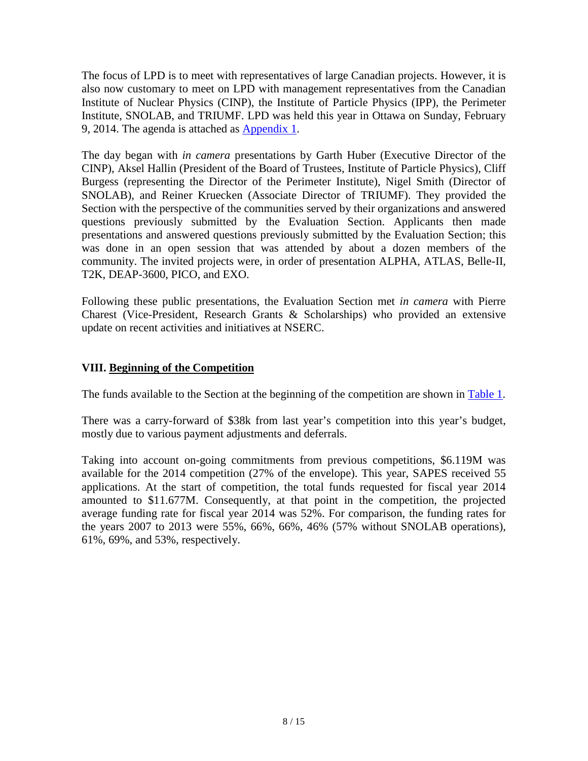The focus of LPD is to meet with representatives of large Canadian projects. However, it is also now customary to meet on LPD with management representatives from the Canadian Institute of Nuclear Physics (CINP), the Institute of Particle Physics (IPP), the Perimeter Institute, SNOLAB, and TRIUMF. LPD was held this year in Ottawa on Sunday, February 9, 2014. The agenda is attached as [Appendix 1.](#page-13-0)

The day began with *in camera* presentations by Garth Huber (Executive Director of the CINP), Aksel Hallin (President of the Board of Trustees, Institute of Particle Physics), Cliff Burgess (representing the Director of the Perimeter Institute), Nigel Smith (Director of SNOLAB), and Reiner Kruecken (Associate Director of TRIUMF). They provided the Section with the perspective of the communities served by their organizations and answered questions previously submitted by the Evaluation Section. Applicants then made presentations and answered questions previously submitted by the Evaluation Section; this was done in an open session that was attended by about a dozen members of the community. The invited projects were, in order of presentation ALPHA, ATLAS, Belle-II, T2K, DEAP-3600, PICO, and EXO.

Following these public presentations, the Evaluation Section met *in camera* with Pierre Charest (Vice-President, Research Grants & Scholarships) who provided an extensive update on recent activities and initiatives at NSERC.

# **VIII. Beginning of the Competition**

The funds available to the Section at the beginning of the competition are shown in [Table 1.](#page-8-0)

There was a carry-forward of \$38k from last year's competition into this year's budget, mostly due to various payment adjustments and deferrals.

Taking into account on-going commitments from previous competitions, \$6.119M was available for the 2014 competition (27% of the envelope). This year, SAPES received 55 applications. At the start of competition, the total funds requested for fiscal year 2014 amounted to \$11.677M. Consequently, at that point in the competition, the projected average funding rate for fiscal year 2014 was 52%. For comparison, the funding rates for the years 2007 to 2013 were 55%, 66%, 66%, 46% (57% without SNOLAB operations), 61%, 69%, and 53%, respectively.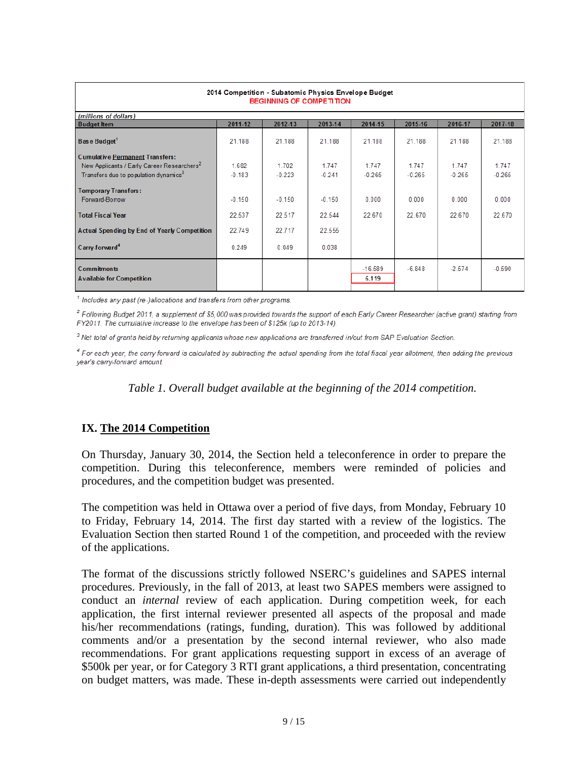| 2014 Competition - Subatomic Physics Envelope Budget<br><b>BEGINNING OF COMPETITION</b> |          |          |          |                    |          |          |          |
|-----------------------------------------------------------------------------------------|----------|----------|----------|--------------------|----------|----------|----------|
| (millions of dollars)                                                                   |          |          |          |                    |          |          |          |
| <b>Budget Item</b>                                                                      | 2011-12  | 2012-13  | 2013-14  | 2014-15            | 2015-16  | 2016-17  | 2017-18  |
| Base Budget <sup>1</sup>                                                                | 21.188   | 21.188   | 21.188   | 21.188             | 21.188   | 21.188   | 21.188   |
| <b>Cumulative Permanent Transfers:</b>                                                  |          |          |          |                    |          |          |          |
| New Applicants / Early Career Researchers <sup>2</sup>                                  | 1.682    | 1.702    | 1.747    | 1.747              | 1.747    | 1.747    | 1.747    |
| Transfers due to population dynamics <sup>3</sup>                                       | $-0.183$ | $-0.223$ | $-0.241$ | $-0.265$           | $-0.265$ | $-0.265$ | $-0.265$ |
| <b>Temporary Transfers:</b><br>Forward-Borrow                                           | $-0.150$ | $-0.150$ | $-0.150$ | 0.000              | 0.000    | 0.000    | 0.000    |
| <b>Total Fiscal Year</b>                                                                | 22.537   | 22.517   | 22.544   | 22.670             | 22 670   | 22 670   | 22.670   |
| <b>Actual Spending by End of Yearly Competition</b>                                     | 22.749   | 22.717   | 22.555   |                    |          |          |          |
| Carry-forward <sup>4</sup>                                                              | 0.249    | 0.049    | 0.038    |                    |          |          |          |
| <b>Commitments</b><br><b>Available for Competition</b>                                  |          |          |          | $-16.589$<br>6.119 | $-6.848$ | $-2.574$ | $-0.590$ |

<sup>1</sup> Includes any past (re-)allocations and transfers from other programs.

 $^2$  Following Budget 2011, a supplement of \$5,000 was provided towards the support of each Early Career Researcher (active grant) starting from FY2011. The cumulative increase to the envelope has been of \$125k (up to 2013-14).

<sup>3</sup> Net total of grants held by returning applicants whose new applications are transferred in/out from SAP Evaluation Section.

<span id="page-8-0"></span><sup>4</sup> For each year, the carry forward is calculated by subtracting the actual spending from the total fiscal year allotment, then adding the previous year's carry-forward amount.

*Table 1. Overall budget available at the beginning of the 2014 competition.*

# **IX. The 2014 Competition**

On Thursday, January 30, 2014, the Section held a teleconference in order to prepare the competition. During this teleconference, members were reminded of policies and procedures, and the competition budget was presented.

The competition was held in Ottawa over a period of five days, from Monday, February 10 to Friday, February 14, 2014. The first day started with a review of the logistics. The Evaluation Section then started Round 1 of the competition, and proceeded with the review of the applications.

The format of the discussions strictly followed NSERC's guidelines and SAPES internal procedures. Previously, in the fall of 2013, at least two SAPES members were assigned to conduct an *internal* review of each application. During competition week, for each application, the first internal reviewer presented all aspects of the proposal and made his/her recommendations (ratings, funding, duration). This was followed by additional comments and/or a presentation by the second internal reviewer, who also made recommendations. For grant applications requesting support in excess of an average of \$500k per year, or for Category 3 RTI grant applications, a third presentation, concentrating on budget matters, was made. These in-depth assessments were carried out independently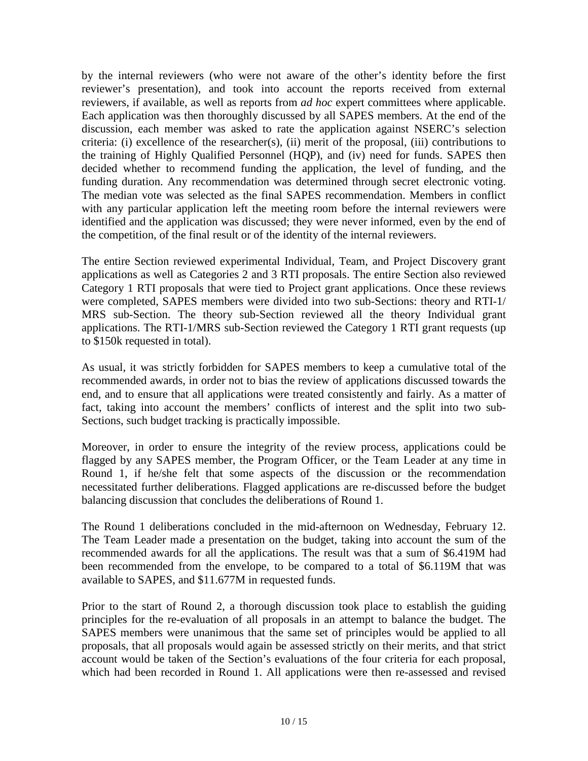by the internal reviewers (who were not aware of the other's identity before the first reviewer's presentation), and took into account the reports received from external reviewers, if available, as well as reports from *ad hoc* expert committees where applicable. Each application was then thoroughly discussed by all SAPES members. At the end of the discussion, each member was asked to rate the application against NSERC's selection criteria: (i) excellence of the researcher(s), (ii) merit of the proposal, (iii) contributions to the training of Highly Qualified Personnel (HQP), and (iv) need for funds. SAPES then decided whether to recommend funding the application, the level of funding, and the funding duration. Any recommendation was determined through secret electronic voting. The median vote was selected as the final SAPES recommendation. Members in conflict with any particular application left the meeting room before the internal reviewers were identified and the application was discussed; they were never informed, even by the end of the competition, of the final result or of the identity of the internal reviewers.

The entire Section reviewed experimental Individual, Team, and Project Discovery grant applications as well as Categories 2 and 3 RTI proposals. The entire Section also reviewed Category 1 RTI proposals that were tied to Project grant applications. Once these reviews were completed, SAPES members were divided into two sub-Sections: theory and RTI-1/ MRS sub-Section. The theory sub-Section reviewed all the theory Individual grant applications. The RTI-1/MRS sub-Section reviewed the Category 1 RTI grant requests (up to \$150k requested in total).

As usual, it was strictly forbidden for SAPES members to keep a cumulative total of the recommended awards, in order not to bias the review of applications discussed towards the end, and to ensure that all applications were treated consistently and fairly. As a matter of fact, taking into account the members' conflicts of interest and the split into two sub-Sections, such budget tracking is practically impossible.

Moreover, in order to ensure the integrity of the review process, applications could be flagged by any SAPES member, the Program Officer, or the Team Leader at any time in Round 1, if he/she felt that some aspects of the discussion or the recommendation necessitated further deliberations. Flagged applications are re-discussed before the budget balancing discussion that concludes the deliberations of Round 1.

The Round 1 deliberations concluded in the mid-afternoon on Wednesday, February 12. The Team Leader made a presentation on the budget, taking into account the sum of the recommended awards for all the applications. The result was that a sum of \$6.419M had been recommended from the envelope, to be compared to a total of \$6.119M that was available to SAPES, and \$11.677M in requested funds.

Prior to the start of Round 2, a thorough discussion took place to establish the guiding principles for the re-evaluation of all proposals in an attempt to balance the budget. The SAPES members were unanimous that the same set of principles would be applied to all proposals, that all proposals would again be assessed strictly on their merits, and that strict account would be taken of the Section's evaluations of the four criteria for each proposal, which had been recorded in Round 1. All applications were then re-assessed and revised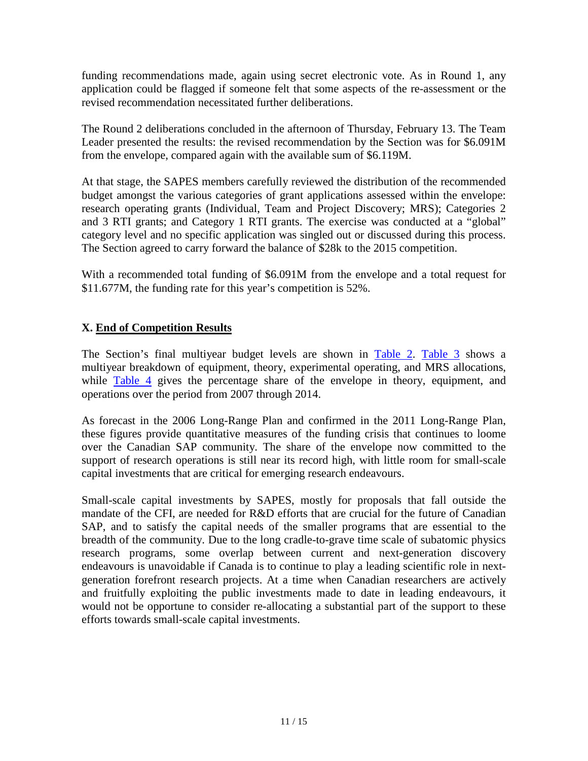funding recommendations made, again using secret electronic vote. As in Round 1, any application could be flagged if someone felt that some aspects of the re-assessment or the revised recommendation necessitated further deliberations.

The Round 2 deliberations concluded in the afternoon of Thursday, February 13. The Team Leader presented the results: the revised recommendation by the Section was for \$6.091M from the envelope, compared again with the available sum of \$6.119M.

At that stage, the SAPES members carefully reviewed the distribution of the recommended budget amongst the various categories of grant applications assessed within the envelope: research operating grants (Individual, Team and Project Discovery; MRS); Categories 2 and 3 RTI grants; and Category 1 RTI grants. The exercise was conducted at a "global" category level and no specific application was singled out or discussed during this process. The Section agreed to carry forward the balance of \$28k to the 2015 competition.

With a recommended total funding of \$6.091M from the envelope and a total request for \$11.677M, the funding rate for this year's competition is 52%.

# **X. End of Competition Results**

The Section's final multiyear budget levels are shown in [Table 2.](#page-11-0) [Table 3](#page-12-0) shows a multiyear breakdown of equipment, theory, experimental operating, and MRS allocations, while [Table 4](#page-12-1) gives the percentage share of the envelope in theory, equipment, and operations over the period from 2007 through 2014.

As forecast in the 2006 Long-Range Plan and confirmed in the 2011 Long-Range Plan, these figures provide quantitative measures of the funding crisis that continues to loome over the Canadian SAP community. The share of the envelope now committed to the support of research operations is still near its record high, with little room for small-scale capital investments that are critical for emerging research endeavours.

Small-scale capital investments by SAPES, mostly for proposals that fall outside the mandate of the CFI, are needed for R&D efforts that are crucial for the future of Canadian SAP, and to satisfy the capital needs of the smaller programs that are essential to the breadth of the community. Due to the long cradle-to-grave time scale of subatomic physics research programs, some overlap between current and next-generation discovery endeavours is unavoidable if Canada is to continue to play a leading scientific role in nextgeneration forefront research projects. At a time when Canadian researchers are actively and fruitfully exploiting the public investments made to date in leading endeavours, it would not be opportune to consider re-allocating a substantial part of the support to these efforts towards small-scale capital investments.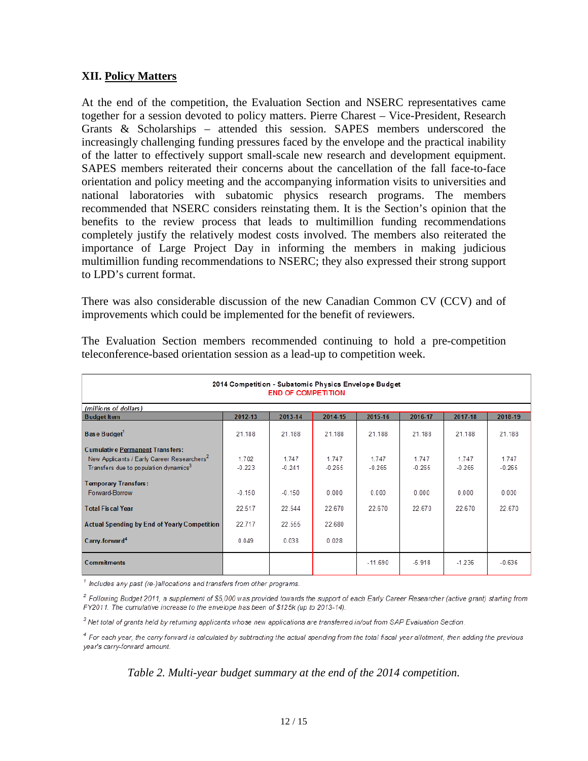#### **XII. Policy Matters**

At the end of the competition, the Evaluation Section and NSERC representatives came together for a session devoted to policy matters. Pierre Charest – Vice-President, Research Grants & Scholarships – attended this session. SAPES members underscored the increasingly challenging funding pressures faced by the envelope and the practical inability of the latter to effectively support small-scale new research and development equipment. SAPES members reiterated their concerns about the cancellation of the fall face-to-face orientation and policy meeting and the accompanying information visits to universities and national laboratories with subatomic physics research programs. The members recommended that NSERC considers reinstating them. It is the Section's opinion that the benefits to the review process that leads to multimillion funding recommendations completely justify the relatively modest costs involved. The members also reiterated the importance of Large Project Day in informing the members in making judicious multimillion funding recommendations to NSERC; they also expressed their strong support to LPD's current format.

There was also considerable discussion of the new Canadian Common CV (CCV) and of improvements which could be implemented for the benefit of reviewers.

<span id="page-11-0"></span>

| 2014 Competition - Subatomic Physics Envelope Budget   |          |          |          |           |          |          |          |  |
|--------------------------------------------------------|----------|----------|----------|-----------|----------|----------|----------|--|
| <b>END OF COMPETITION</b>                              |          |          |          |           |          |          |          |  |
| (millions of dollars)                                  |          |          |          |           |          |          |          |  |
| <b>Budget Item</b>                                     | 2012-13  | 2013-14  | 2014-15  | 2015-16   | 2016-17  | 2017-18  | 2018-19  |  |
| Base Budget <sup>1</sup>                               | 21.188   | 21.188   | 21.188   | 21.188    | 21.188   | 21.188   | 21.188   |  |
| <b>Cumulative Permanent Transfers:</b>                 |          |          |          |           |          |          |          |  |
| New Applicants / Early Career Researchers <sup>2</sup> | 1.702    | 1.747    | 1.747    | 1.747     | 1.747    | 1.747    | 1.747    |  |
| Transfers due to population dynamics <sup>3</sup>      | $-0.223$ | $-0.241$ | $-0.265$ | $-0.265$  | $-0.265$ | $-0.265$ | $-0.265$ |  |
| <b>Temporary Transfers:</b>                            |          |          |          |           |          |          |          |  |
| Forward-Borrow                                         | $-0.150$ | $-0.150$ | 0.000    | 0.000     | 0.000    | 0.000    | 0.000    |  |
| <b>Total Fiscal Year</b>                               | 22.517   | 22.544   | 22.670   | 22.670    | 22.670   | 22.670   | 22.670   |  |
| <b>Actual Spending by End of Yearly Competition</b>    | 22.717   | 22.555   | 22.680   |           |          |          |          |  |
| Carry-forward <sup>4</sup>                             | 0.049    | 0.038    | 0.028    |           |          |          |          |  |
| <b>Commitments</b>                                     |          |          |          | $-11.690$ | $-5.918$ | $-1.236$ | $-0.636$ |  |

The Evaluation Section members recommended continuing to hold a pre-competition teleconference-based orientation session as a lead-up to competition week.

<sup>1</sup> Includes any past (re-)allocations and transfers from other programs.

<sup>2</sup> Following Budget 2011, a supplement of \$5,000 was provided towards the support of each Early Career Researcher (active grant) starting from FY2011. The cumulative increase to the envelope has been of \$125k (up to 2013-14).

<sup>3</sup> Net total of grants held by returning applicants whose new applications are transferred in/out from SAP Evaluation Section.

<sup>4</sup> For each year, the carry forward is calculated by subtracting the actual spending from the total fiscal year allotment, then adding the previous year's carry-forward amount.

#### *Table 2. Multi-year budget summary at the end of the 2014 competition.*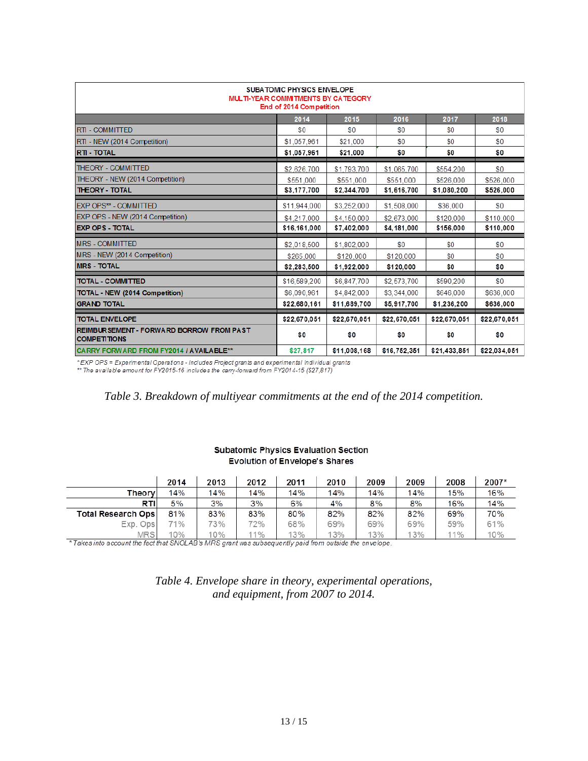<span id="page-12-0"></span>

| SUBA TOMIC PHYSICS ENVELOPE<br>MULTI-YEAR COMMITMENTS BY CATEGORY<br>End of 2014 Competition |              |              |              |              |              |  |
|----------------------------------------------------------------------------------------------|--------------|--------------|--------------|--------------|--------------|--|
|                                                                                              | 2014         | 2015         | 2016         | 2017         | 2018         |  |
| <b>RTI - COMMITTED</b>                                                                       | \$0          | $\$0$        | \$0          | \$0          | SO.          |  |
| RTI - NEW (2014 Competition)                                                                 | \$1,057,961  | \$21,000     | \$0          | \$0          | $\$0$        |  |
| <b>RTI - TOTAL</b>                                                                           | \$1,057,961  | \$21,000     | \$0          | \$0          | \$0          |  |
| <b>THEORY - COMMITTED</b>                                                                    | \$2,626,700  | \$1.793.700  | \$1,065,700  | \$554.200    | \$0          |  |
| THEORY - NEW (2014 Competition)                                                              | \$551,000    | \$551,000    | \$551,000    | \$526.000    | \$526,000    |  |
| <b>THEORY - TOTAL</b>                                                                        | \$3,177,700  | \$2,344,700  | \$1,616,700  | \$1,080,200  | \$526,000    |  |
| <b>EXP OPS** - COMMITTED</b>                                                                 | \$11,944,000 | \$3,252,000  | \$1,508,000  | \$36,000     | $\$0$        |  |
| EXP OPS - NEW (2014 Competition)                                                             | \$4,217,000  | \$4.150.000  | \$2.673.000  | \$120.000    | \$110,000    |  |
| <b>EXP OPS - TOTAL</b>                                                                       | \$16,161,000 | \$7,402,000  | \$4,181,000  | \$156,000    | \$110,000    |  |
| <b>MRS - COMMITTED</b>                                                                       | \$2,018,500  | \$1,802,000  | \$0          | \$0          | \$0          |  |
| MRS - NEW (2014 Competition)                                                                 | \$265,000    | \$120,000    | \$120,000    | \$0          | $\$0$        |  |
| <b>MRS - TOTAL</b>                                                                           | \$2,283,500  | \$1,922,000  | \$120,000    | \$0          | \$0          |  |
| <b>TOTAL - COMMITTED</b>                                                                     | \$16,589,200 | \$6,847,700  | \$2,573,700  | \$590.200    | $\$0$        |  |
| <b>TOTAL - NEW (2014 Competition)</b>                                                        | \$6,090,961  | \$4,842,000  | \$3,344,000  | \$646,000    | \$636,000    |  |
| <b>GRAND TOTAL</b>                                                                           | \$22,680,161 | \$11,689,700 | \$5,917,700  | \$1,236,200  | \$636,000    |  |
| <b>TOTAL ENVELOPE</b>                                                                        | \$22,670,051 | \$22,670,051 | \$22,670,051 | \$22,670,051 | \$22,670,051 |  |
| <b>REIMBUR SEMENT - FORWARD BORROW FROM PAST</b><br><b>COMPETITIONS</b>                      | \$0          | \$0          | \$0          | \$0          | \$0          |  |
| CARRY FORWARD FROM FY2014 / AVAILABLE**                                                      | \$27,817     | \$11,008,168 | \$16,752,351 | \$21,433,851 | \$22,034,051 |  |

\*EXP OPS = Experimental Operations - Includes Project grants and experimental Individual grants<br>\*\* The available amount for FY2015-16 includes the carry-forward from FY2014-15 (\$27,817)

#### *Table 3. Breakdown of multiyear commitments at the end of the 2014 competition.*

#### **Subatomic Physics Evaluation Section Evolution of Envelope's Shares**

<span id="page-12-1"></span>

|                           | 2014 | 2013 | 2012 | 2011 | 2010 | 2009 | 2009 | 2008 | 2007* |
|---------------------------|------|------|------|------|------|------|------|------|-------|
| Theory                    | 14%  | 14%  | 14%  | 14%  | 14%  | 14%  | 14%  | 15%  | 16%   |
| RTI                       | 5%   | 3%   | 3%   | 6%   | 4%   | 8%   | 8%   | 16%  | 14%   |
| <b>Total Research Ops</b> | 81%  | 83%  | 83%  | 80%  | 82%  | 82%  | 82%  | 69%  | 70%   |
| Exp. Ops                  | 71%  | 73%  | 72%  | 68%  | 69%  | 69%  | 69%  | 59%  | 61%   |
| <b>MRS</b>                | 10%  | 10%  | 11%  | 13%  | 13%  | 13%  | 3%   | 11%  | 10%   |

\*Takes into account the fact that SNOLAB's MRS grant was subsequently paid from outside the envelope.

*Table 4. Envelope share in theory, experimental operations, and equipment, from 2007 to 2014.*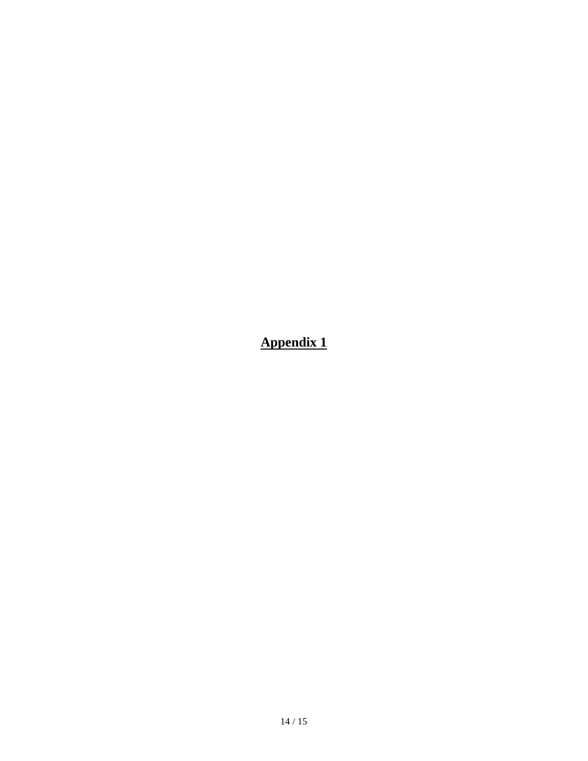<span id="page-13-0"></span>**Appendix 1**